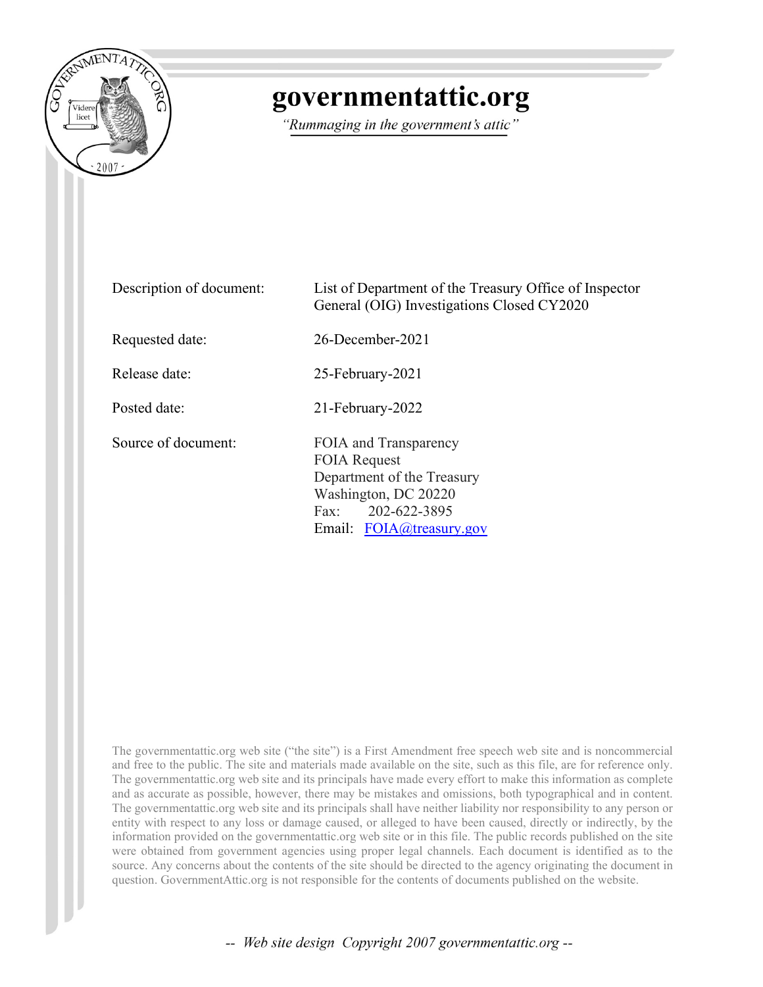

## governmentattic.org

"Rummaging in the government's attic"

| Description of document: | List of Department of the Treasury Office of Inspector<br>General (OIG) Investigations Closed CY2020                                                |
|--------------------------|-----------------------------------------------------------------------------------------------------------------------------------------------------|
| Requested date:          | $26$ -December-2021                                                                                                                                 |
| Release date:            | 25-February-2021                                                                                                                                    |
| Posted date:             | 21-February-2022                                                                                                                                    |
| Source of document:      | FOIA and Transparency<br><b>FOIA Request</b><br>Department of the Treasury<br>Washington, DC 20220<br>Fax: 202-622-3895<br>Email: FOIA@treasury.gov |

The governmentattic.org web site ("the site") is a First Amendment free speech web site and is noncommercial and free to the public. The site and materials made available on the site, such as this file, are for reference only. The governmentattic.org web site and its principals have made every effort to make this information as complete and as accurate as possible, however, there may be mistakes and omissions, both typographical and in content. The governmentattic.org web site and its principals shall have neither liability nor responsibility to any person or entity with respect to any loss or damage caused, or alleged to have been caused, directly or indirectly, by the information provided on the governmentattic.org web site or in this file. The public records published on the site were obtained from government agencies using proper legal channels. Each document is identified as to the source. Any concerns about the contents of the site should be directed to the agency originating the document in question. GovernmentAttic.org is not responsible for the contents of documents published on the website.

-- Web site design Copyright 2007 governmentattic.org --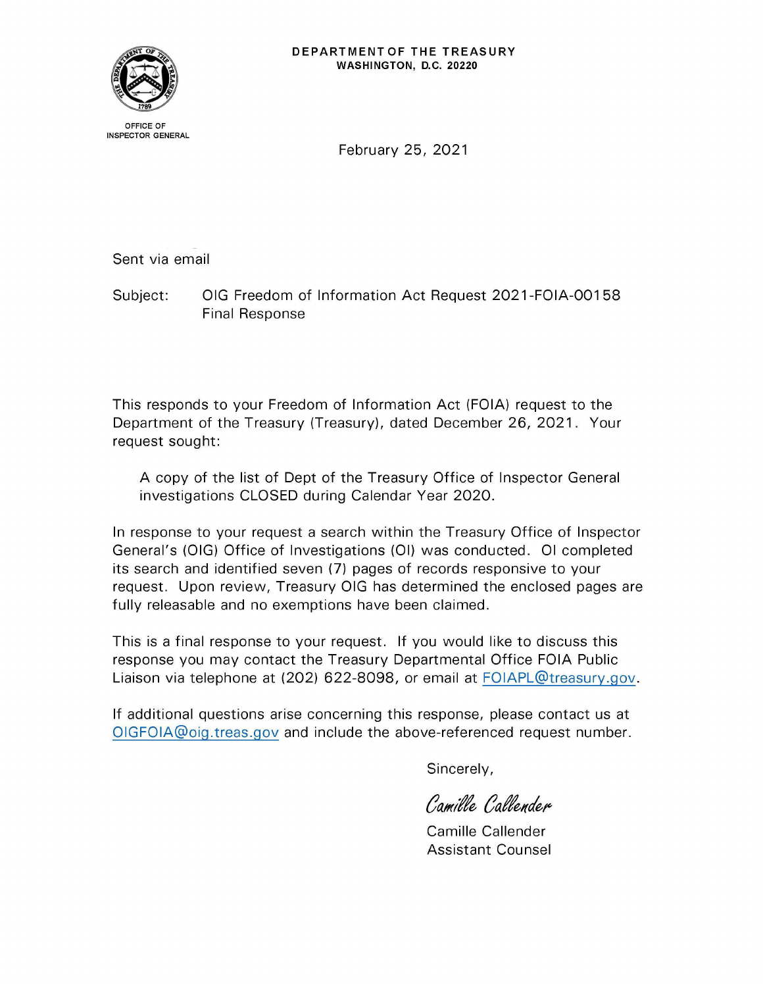

OFFICE OF INSPECTOR GENERAL

February 25, 2021

Sent via email

Subject: OIG Freedom of Information Act Request 2021-FOIA-00158 Final Response

This responds to your Freedom of Information Act (FOIA) request to the Department of the Treasury (Treasury), dated December 26, 2021. Your request sought:

A copy of the list of Dept of the Treasury Office of Inspector General investigations CLOSED during Calendar Year 2020.

In response to your request a search within the Treasury Office of Inspector General's (OIG) Office of Investigations (01) was conducted. 01 completed its search and identified seven (7) pages of records responsive to your request. Upon review, Treasury OIG has determined the enclosed pages are fully releasable and no exemptions have been claimed.

This is a final response to your request. If you would like to discuss this response you may contact the Treasury Departmental Office FOIA Public Liaison via telephone at (202) 622-8098, or email at FOIAPL@treasury.gov.

If additional questions arise concerning this response, please contact us at OIGFOIA@oig.treas.gov and include the above-referenced request number.

Sincerely,

Camille Callender

Camille Callender Assistant Counsel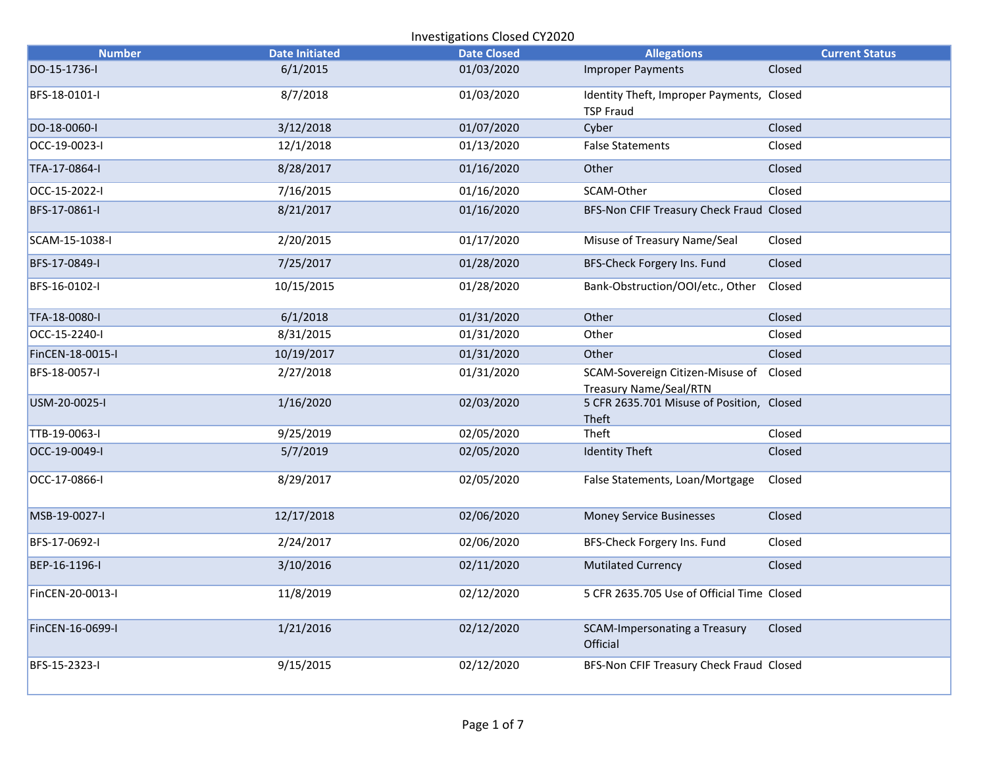| <b>Number</b>    | <b>Date Initiated</b> | <b>Date Closed</b> | <b>Allegations</b>                                                       | <b>Current Status</b> |
|------------------|-----------------------|--------------------|--------------------------------------------------------------------------|-----------------------|
| DO-15-1736-I     | 6/1/2015              | 01/03/2020         | <b>Improper Payments</b>                                                 | Closed                |
| BFS-18-0101-I    | 8/7/2018              | 01/03/2020         | Identity Theft, Improper Payments, Closed<br><b>TSP Fraud</b>            |                       |
| DO-18-0060-I     | 3/12/2018             | 01/07/2020         | Cyber                                                                    | Closed                |
| OCC-19-0023-I    | 12/1/2018             | 01/13/2020         | <b>False Statements</b>                                                  | Closed                |
| TFA-17-0864-I    | 8/28/2017             | 01/16/2020         | Other                                                                    | Closed                |
| OCC-15-2022-I    | 7/16/2015             | 01/16/2020         | SCAM-Other                                                               | Closed                |
| BFS-17-0861-I    | 8/21/2017             | 01/16/2020         | BFS-Non CFIF Treasury Check Fraud Closed                                 |                       |
| SCAM-15-1038-I   | 2/20/2015             | 01/17/2020         | Misuse of Treasury Name/Seal                                             | Closed                |
| BFS-17-0849-I    | 7/25/2017             | 01/28/2020         | BFS-Check Forgery Ins. Fund                                              | Closed                |
| BFS-16-0102-I    | 10/15/2015            | 01/28/2020         | Bank-Obstruction/OOI/etc., Other                                         | Closed                |
| TFA-18-0080-I    | 6/1/2018              | 01/31/2020         | Other                                                                    | Closed                |
| OCC-15-2240-I    | 8/31/2015             | 01/31/2020         | Other                                                                    | Closed                |
| FinCEN-18-0015-I | 10/19/2017            | 01/31/2020         | Other                                                                    | Closed                |
| BFS-18-0057-I    | 2/27/2018             | 01/31/2020         | SCAM-Sovereign Citizen-Misuse of Closed<br><b>Treasury Name/Seal/RTN</b> |                       |
| USM-20-0025-I    | 1/16/2020             | 02/03/2020         | 5 CFR 2635.701 Misuse of Position, Closed<br>Theft                       |                       |
| TTB-19-0063-I    | 9/25/2019             | 02/05/2020         | Theft                                                                    | Closed                |
| OCC-19-0049-I    | 5/7/2019              | 02/05/2020         | <b>Identity Theft</b>                                                    | Closed                |
| OCC-17-0866-I    | 8/29/2017             | 02/05/2020         | False Statements, Loan/Mortgage                                          | Closed                |
| MSB-19-0027-I    | 12/17/2018            | 02/06/2020         | <b>Money Service Businesses</b>                                          | Closed                |
| BFS-17-0692-I    | 2/24/2017             | 02/06/2020         | BFS-Check Forgery Ins. Fund                                              | Closed                |
| BEP-16-1196-I    | 3/10/2016             | 02/11/2020         | <b>Mutilated Currency</b>                                                | Closed                |
| FinCEN-20-0013-I | 11/8/2019             | 02/12/2020         | 5 CFR 2635.705 Use of Official Time Closed                               |                       |
| FinCEN-16-0699-I | 1/21/2016             | 02/12/2020         | SCAM-Impersonating a Treasury<br>Official                                | Closed                |
| BFS-15-2323-I    | 9/15/2015             | 02/12/2020         | BFS-Non CFIF Treasury Check Fraud Closed                                 |                       |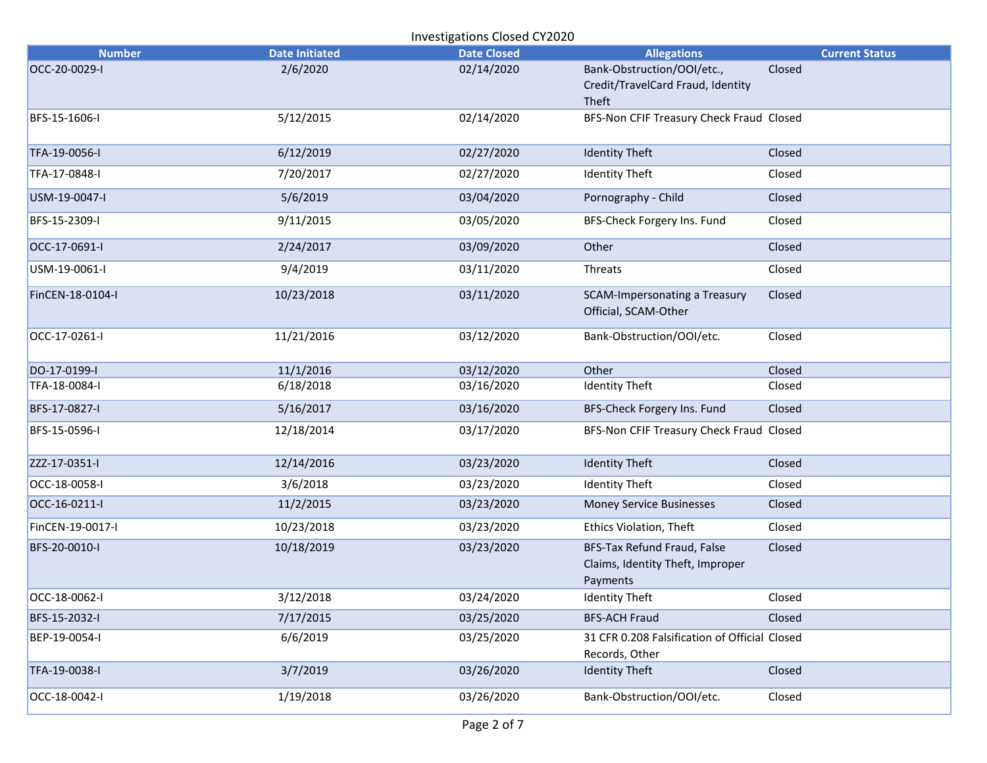| <b>Number</b>    | <b>Date Initiated</b> | <b>Date Closed</b> | <b>Allegations</b>                                                          | <b>Current Status</b> |
|------------------|-----------------------|--------------------|-----------------------------------------------------------------------------|-----------------------|
| OCC-20-0029-I    | 2/6/2020              | 02/14/2020         | Bank-Obstruction/OOI/etc.,<br>Credit/TravelCard Fraud, Identity<br>Theft    | Closed                |
| BFS-15-1606-I    | 5/12/2015             | 02/14/2020         | BFS-Non CFIF Treasury Check Fraud Closed                                    |                       |
| TFA-19-0056-I    | 6/12/2019             | 02/27/2020         | <b>Identity Theft</b>                                                       | Closed                |
| TFA-17-0848-I    | 7/20/2017             | 02/27/2020         | <b>Identity Theft</b>                                                       | Closed                |
| USM-19-0047-I    | 5/6/2019              | 03/04/2020         | Pornography - Child                                                         | Closed                |
| BFS-15-2309-I    | 9/11/2015             | 03/05/2020         | BFS-Check Forgery Ins. Fund                                                 | Closed                |
| OCC-17-0691-I    | 2/24/2017             | 03/09/2020         | Other                                                                       | Closed                |
| USM-19-0061-I    | 9/4/2019              | 03/11/2020         | Threats                                                                     | Closed                |
| FinCEN-18-0104-I | 10/23/2018            | 03/11/2020         | SCAM-Impersonating a Treasury<br>Official, SCAM-Other                       | Closed                |
| OCC-17-0261-I    | 11/21/2016            | 03/12/2020         | Bank-Obstruction/OOI/etc.                                                   | Closed                |
| DO-17-0199-I     | 11/1/2016             | 03/12/2020         | Other                                                                       | Closed                |
| TFA-18-0084-I    | 6/18/2018             | 03/16/2020         | <b>Identity Theft</b>                                                       | Closed                |
| BFS-17-0827-I    | 5/16/2017             | 03/16/2020         | BFS-Check Forgery Ins. Fund                                                 | Closed                |
| BFS-15-0596-I    | 12/18/2014            | 03/17/2020         | BFS-Non CFIF Treasury Check Fraud Closed                                    |                       |
| ZZZ-17-0351-I    | 12/14/2016            | 03/23/2020         | <b>Identity Theft</b>                                                       | Closed                |
| OCC-18-0058-I    | 3/6/2018              | 03/23/2020         | <b>Identity Theft</b>                                                       | Closed                |
| OCC-16-0211-I    | 11/2/2015             | 03/23/2020         | <b>Money Service Businesses</b>                                             | Closed                |
| FinCEN-19-0017-I | 10/23/2018            | 03/23/2020         | <b>Ethics Violation, Theft</b>                                              | Closed                |
| BFS-20-0010-I    | 10/18/2019            | 03/23/2020         | BFS-Tax Refund Fraud, False<br>Claims, Identity Theft, Improper<br>Payments | Closed                |
| OCC-18-0062-I    | 3/12/2018             | 03/24/2020         | <b>Identity Theft</b>                                                       | Closed                |
| BFS-15-2032-I    | 7/17/2015             | 03/25/2020         | <b>BFS-ACH Fraud</b>                                                        | Closed                |
| BEP-19-0054-I    | 6/6/2019              | 03/25/2020         | 31 CFR 0.208 Falsification of Official Closed<br>Records, Other             |                       |
| TFA-19-0038-I    | 3/7/2019              | 03/26/2020         | <b>Identity Theft</b>                                                       | Closed                |
| OCC-18-0042-I    | 1/19/2018             | 03/26/2020         | Bank-Obstruction/OOI/etc.                                                   | Closed                |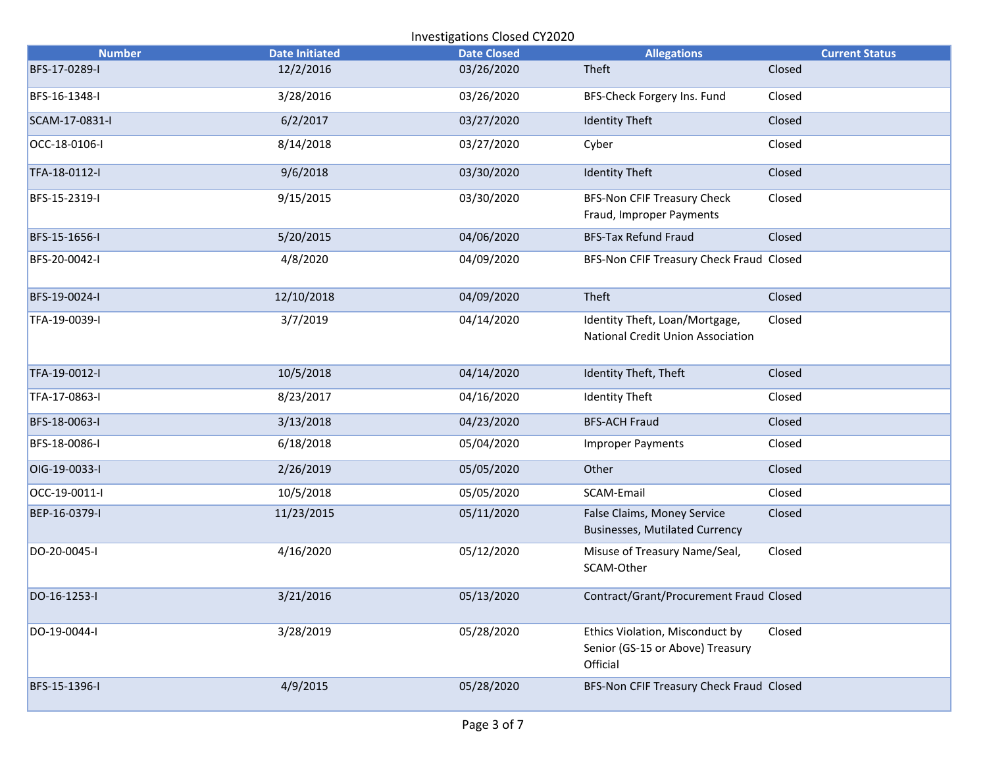|                | Investigations Closed CY2020 |                    |                                                                                 |                       |  |  |
|----------------|------------------------------|--------------------|---------------------------------------------------------------------------------|-----------------------|--|--|
| <b>Number</b>  | <b>Date Initiated</b>        | <b>Date Closed</b> | <b>Allegations</b>                                                              | <b>Current Status</b> |  |  |
| BFS-17-0289-I  | 12/2/2016                    | 03/26/2020         | Theft                                                                           | Closed                |  |  |
| BFS-16-1348-I  | 3/28/2016                    | 03/26/2020         | BFS-Check Forgery Ins. Fund                                                     | Closed                |  |  |
| SCAM-17-0831-I | 6/2/2017                     | 03/27/2020         | <b>Identity Theft</b>                                                           | Closed                |  |  |
| OCC-18-0106-I  | 8/14/2018                    | 03/27/2020         | Cyber                                                                           | Closed                |  |  |
| TFA-18-0112-I  | 9/6/2018                     | 03/30/2020         | <b>Identity Theft</b>                                                           | Closed                |  |  |
| BFS-15-2319-I  | 9/15/2015                    | 03/30/2020         | <b>BFS-Non CFIF Treasury Check</b><br>Fraud, Improper Payments                  | Closed                |  |  |
| BFS-15-1656-I  | 5/20/2015                    | 04/06/2020         | <b>BFS-Tax Refund Fraud</b>                                                     | Closed                |  |  |
| BFS-20-0042-I  | 4/8/2020                     | 04/09/2020         | BFS-Non CFIF Treasury Check Fraud Closed                                        |                       |  |  |
| BFS-19-0024-I  | 12/10/2018                   | 04/09/2020         | Theft                                                                           | Closed                |  |  |
| TFA-19-0039-I  | 3/7/2019                     | 04/14/2020         | Identity Theft, Loan/Mortgage,<br>National Credit Union Association             | Closed                |  |  |
| TFA-19-0012-I  | 10/5/2018                    | 04/14/2020         | Identity Theft, Theft                                                           | Closed                |  |  |
| TFA-17-0863-I  | 8/23/2017                    | 04/16/2020         | <b>Identity Theft</b>                                                           | Closed                |  |  |
| BFS-18-0063-I  | 3/13/2018                    | 04/23/2020         | <b>BFS-ACH Fraud</b>                                                            | Closed                |  |  |
| BFS-18-0086-I  | 6/18/2018                    | 05/04/2020         | <b>Improper Payments</b>                                                        | Closed                |  |  |
| OIG-19-0033-I  | 2/26/2019                    | 05/05/2020         | Other                                                                           | Closed                |  |  |
| OCC-19-0011-I  | 10/5/2018                    | 05/05/2020         | SCAM-Email                                                                      | Closed                |  |  |
| BEP-16-0379-I  | 11/23/2015                   | 05/11/2020         | False Claims, Money Service<br><b>Businesses, Mutilated Currency</b>            | Closed                |  |  |
| DO-20-0045-I   | 4/16/2020                    | 05/12/2020         | Misuse of Treasury Name/Seal,<br>SCAM-Other                                     | Closed                |  |  |
| DO-16-1253-I   | 3/21/2016                    | 05/13/2020         | Contract/Grant/Procurement Fraud Closed                                         |                       |  |  |
| DO-19-0044-I   | 3/28/2019                    | 05/28/2020         | Ethics Violation, Misconduct by<br>Senior (GS-15 or Above) Treasury<br>Official | Closed                |  |  |
| BFS-15-1396-I  | 4/9/2015                     | 05/28/2020         | BFS-Non CFIF Treasury Check Fraud Closed                                        |                       |  |  |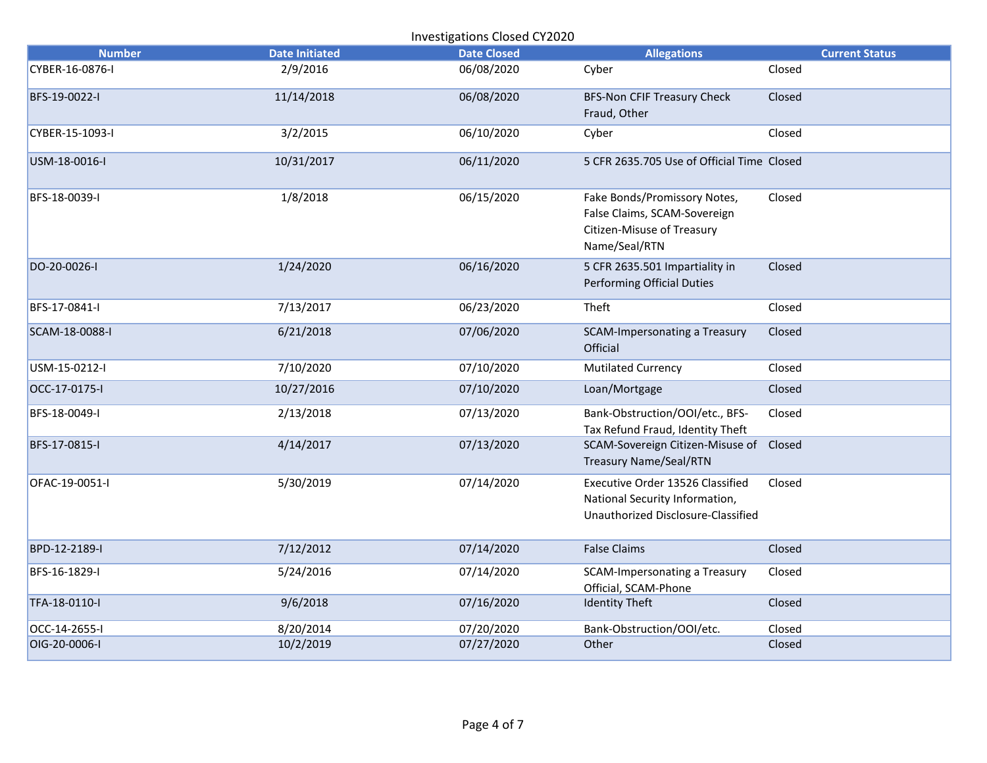| <b>Investigations Closed CY2020</b> |                       |                    |                                                                                                             |                       |  |
|-------------------------------------|-----------------------|--------------------|-------------------------------------------------------------------------------------------------------------|-----------------------|--|
| <b>Number</b>                       | <b>Date Initiated</b> | <b>Date Closed</b> | <b>Allegations</b>                                                                                          | <b>Current Status</b> |  |
| CYBER-16-0876-I                     | 2/9/2016              | 06/08/2020         | Cyber                                                                                                       | Closed                |  |
| BFS-19-0022-I                       | 11/14/2018            | 06/08/2020         | <b>BFS-Non CFIF Treasury Check</b><br>Fraud, Other                                                          | Closed                |  |
| CYBER-15-1093-I                     | 3/2/2015              | 06/10/2020         | Cyber                                                                                                       | Closed                |  |
| USM-18-0016-I                       | 10/31/2017            | 06/11/2020         | 5 CFR 2635.705 Use of Official Time Closed                                                                  |                       |  |
| BFS-18-0039-I                       | 1/8/2018              | 06/15/2020         | Fake Bonds/Promissory Notes,<br>False Claims, SCAM-Sovereign<br>Citizen-Misuse of Treasury<br>Name/Seal/RTN | Closed                |  |
| DO-20-0026-I                        | 1/24/2020             | 06/16/2020         | 5 CFR 2635.501 Impartiality in<br><b>Performing Official Duties</b>                                         | Closed                |  |
| BFS-17-0841-I                       | 7/13/2017             | 06/23/2020         | Theft                                                                                                       | Closed                |  |
| SCAM-18-0088-I                      | 6/21/2018             | 07/06/2020         | SCAM-Impersonating a Treasury<br>Official                                                                   | Closed                |  |
| USM-15-0212-I                       | 7/10/2020             | 07/10/2020         | <b>Mutilated Currency</b>                                                                                   | Closed                |  |
| OCC-17-0175-I                       | 10/27/2016            | 07/10/2020         | Loan/Mortgage                                                                                               | Closed                |  |
| BFS-18-0049-I                       | 2/13/2018             | 07/13/2020         | Bank-Obstruction/OOI/etc., BFS-<br>Tax Refund Fraud, Identity Theft                                         | Closed                |  |
| BFS-17-0815-I                       | 4/14/2017             | 07/13/2020         | SCAM-Sovereign Citizen-Misuse of Closed<br><b>Treasury Name/Seal/RTN</b>                                    |                       |  |
| OFAC-19-0051-I                      | 5/30/2019             | 07/14/2020         | Executive Order 13526 Classified<br>National Security Information,<br>Unauthorized Disclosure-Classified    | Closed                |  |
| BPD-12-2189-I                       | 7/12/2012             | 07/14/2020         | <b>False Claims</b>                                                                                         | Closed                |  |
| BFS-16-1829-I                       | 5/24/2016             | 07/14/2020         | SCAM-Impersonating a Treasury<br>Official, SCAM-Phone                                                       | Closed                |  |
| TFA-18-0110-I                       | 9/6/2018              | 07/16/2020         | <b>Identity Theft</b>                                                                                       | Closed                |  |
| OCC-14-2655-I                       | 8/20/2014             | 07/20/2020         | Bank-Obstruction/OOI/etc.                                                                                   | Closed                |  |
| OIG-20-0006-I                       | 10/2/2019             | 07/27/2020         | Other                                                                                                       | Closed                |  |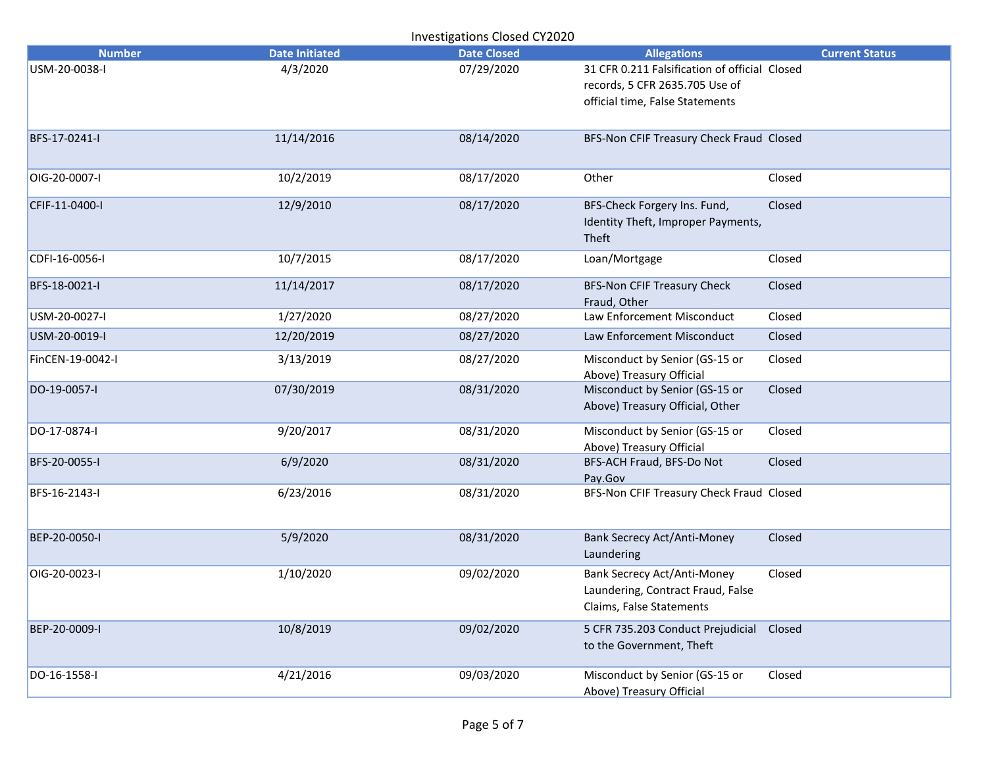| <b>Number</b>    | <b>Date Initiated</b> | <b>Date Closed</b> | <b>Allegations</b>                                                                                                 | <b>Current Status</b> |
|------------------|-----------------------|--------------------|--------------------------------------------------------------------------------------------------------------------|-----------------------|
| USM-20-0038-I    | 4/3/2020              | 07/29/2020         | 31 CFR 0.211 Falsification of official Closed<br>records, 5 CFR 2635.705 Use of<br>official time, False Statements |                       |
| BFS-17-0241-I    | 11/14/2016            | 08/14/2020         | BFS-Non CFIF Treasury Check Fraud Closed                                                                           |                       |
| OIG-20-0007-I    | 10/2/2019             | 08/17/2020         | Other                                                                                                              | Closed                |
| CFIF-11-0400-I   | 12/9/2010             | 08/17/2020         | BFS-Check Forgery Ins. Fund,<br>Identity Theft, Improper Payments,<br>Theft                                        | Closed                |
| CDFI-16-0056-I   | 10/7/2015             | 08/17/2020         | Loan/Mortgage                                                                                                      | Closed                |
| BFS-18-0021-I    | 11/14/2017            | 08/17/2020         | <b>BFS-Non CFIF Treasury Check</b><br>Fraud, Other                                                                 | Closed                |
| USM-20-0027-I    | 1/27/2020             | 08/27/2020         | Law Enforcement Misconduct                                                                                         | Closed                |
| USM-20-0019-I    | 12/20/2019            | 08/27/2020         | Law Enforcement Misconduct                                                                                         | Closed                |
| FinCEN-19-0042-I | 3/13/2019             | 08/27/2020         | Misconduct by Senior (GS-15 or<br>Above) Treasury Official                                                         | Closed                |
| DO-19-0057-I     | 07/30/2019            | 08/31/2020         | Misconduct by Senior (GS-15 or<br>Above) Treasury Official, Other                                                  | Closed                |
| DO-17-0874-I     | 9/20/2017             | 08/31/2020         | Misconduct by Senior (GS-15 or<br>Above) Treasury Official                                                         | Closed                |
| BFS-20-0055-I    | 6/9/2020              | 08/31/2020         | BFS-ACH Fraud, BFS-Do Not<br>Pay.Gov                                                                               | Closed                |
| BFS-16-2143-I    | 6/23/2016             | 08/31/2020         | BFS-Non CFIF Treasury Check Fraud Closed                                                                           |                       |
| BEP-20-0050-I    | 5/9/2020              | 08/31/2020         | <b>Bank Secrecy Act/Anti-Money</b><br>Laundering                                                                   | Closed                |
| OIG-20-0023-I    | 1/10/2020             | 09/02/2020         | Bank Secrecy Act/Anti-Money<br>Laundering, Contract Fraud, False<br>Claims, False Statements                       | Closed                |
| BEP-20-0009-I    | 10/8/2019             | 09/02/2020         | 5 CFR 735.203 Conduct Prejudicial Closed<br>to the Government, Theft                                               |                       |
| DO-16-1558-I     | 4/21/2016             | 09/03/2020         | Misconduct by Senior (GS-15 or<br>Above) Treasury Official                                                         | Closed                |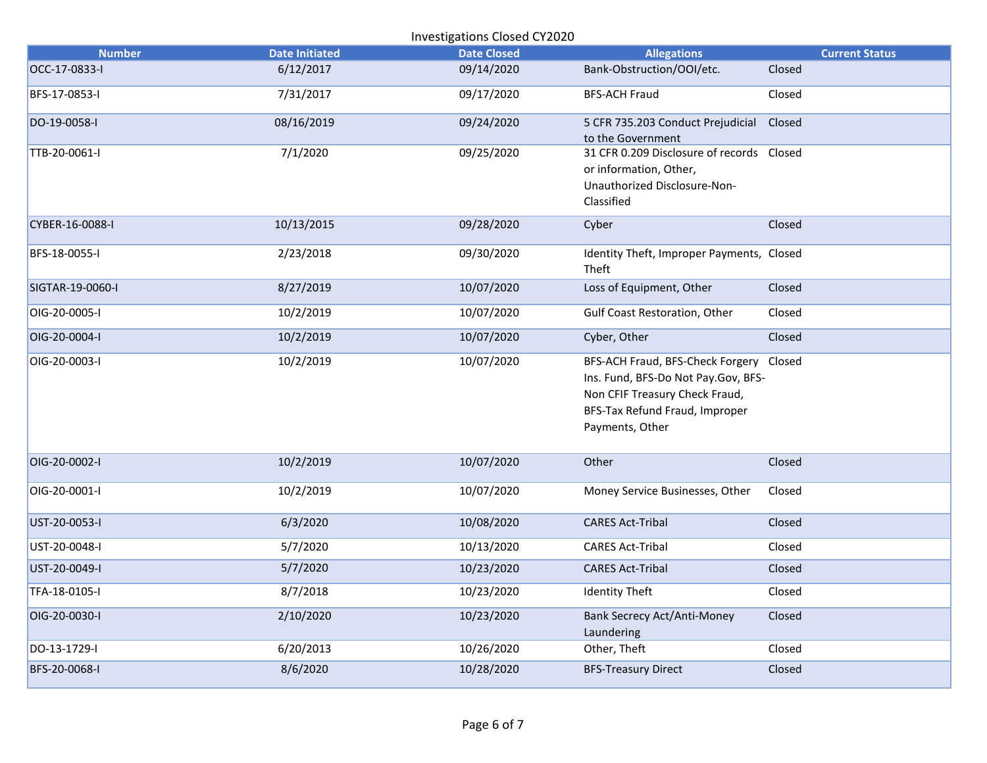| Investigations Closed CY2020 |                       |                    |                                                                                                                                                                       |                       |  |
|------------------------------|-----------------------|--------------------|-----------------------------------------------------------------------------------------------------------------------------------------------------------------------|-----------------------|--|
| <b>Number</b>                | <b>Date Initiated</b> | <b>Date Closed</b> | <b>Allegations</b>                                                                                                                                                    | <b>Current Status</b> |  |
| OCC-17-0833-I                | 6/12/2017             | 09/14/2020         | Bank-Obstruction/OOI/etc.                                                                                                                                             | Closed                |  |
| BFS-17-0853-I                | 7/31/2017             | 09/17/2020         | <b>BFS-ACH Fraud</b>                                                                                                                                                  | Closed                |  |
| DO-19-0058-I                 | 08/16/2019            | 09/24/2020         | 5 CFR 735.203 Conduct Prejudicial<br>to the Government                                                                                                                | Closed                |  |
| TTB-20-0061-I                | 7/1/2020              | 09/25/2020         | 31 CFR 0.209 Disclosure of records  Closed<br>or information, Other,<br>Unauthorized Disclosure-Non-<br>Classified                                                    |                       |  |
| CYBER-16-0088-I              | 10/13/2015            | 09/28/2020         | Cyber                                                                                                                                                                 | Closed                |  |
| BFS-18-0055-I                | 2/23/2018             | 09/30/2020         | Identity Theft, Improper Payments, Closed<br>Theft                                                                                                                    |                       |  |
| SIGTAR-19-0060-I             | 8/27/2019             | 10/07/2020         | Loss of Equipment, Other                                                                                                                                              | Closed                |  |
| OIG-20-0005-I                | 10/2/2019             | 10/07/2020         | Gulf Coast Restoration, Other                                                                                                                                         | Closed                |  |
| OIG-20-0004-I                | 10/2/2019             | 10/07/2020         | Cyber, Other                                                                                                                                                          | Closed                |  |
| OIG-20-0003-I                | 10/2/2019             | 10/07/2020         | BFS-ACH Fraud, BFS-Check Forgery Closed<br>Ins. Fund, BFS-Do Not Pay.Gov, BFS-<br>Non CFIF Treasury Check Fraud,<br>BFS-Tax Refund Fraud, Improper<br>Payments, Other |                       |  |
| OIG-20-0002-I                | 10/2/2019             | 10/07/2020         | Other                                                                                                                                                                 | Closed                |  |
| OIG-20-0001-I                | 10/2/2019             | 10/07/2020         | Money Service Businesses, Other                                                                                                                                       | Closed                |  |
| UST-20-0053-I                | 6/3/2020              | 10/08/2020         | <b>CARES Act-Tribal</b>                                                                                                                                               | Closed                |  |
| UST-20-0048-I                | 5/7/2020              | 10/13/2020         | <b>CARES Act-Tribal</b>                                                                                                                                               | Closed                |  |
| UST-20-0049-I                | 5/7/2020              | 10/23/2020         | <b>CARES Act-Tribal</b>                                                                                                                                               | Closed                |  |
| TFA-18-0105-I                | 8/7/2018              | 10/23/2020         | <b>Identity Theft</b>                                                                                                                                                 | Closed                |  |
| OIG-20-0030-I                | 2/10/2020             | 10/23/2020         | <b>Bank Secrecy Act/Anti-Money</b><br>Laundering                                                                                                                      | Closed                |  |
| DO-13-1729-I                 | 6/20/2013             | 10/26/2020         | Other, Theft                                                                                                                                                          | Closed                |  |
| BFS-20-0068-I                | 8/6/2020              | 10/28/2020         | <b>BFS-Treasury Direct</b>                                                                                                                                            | Closed                |  |